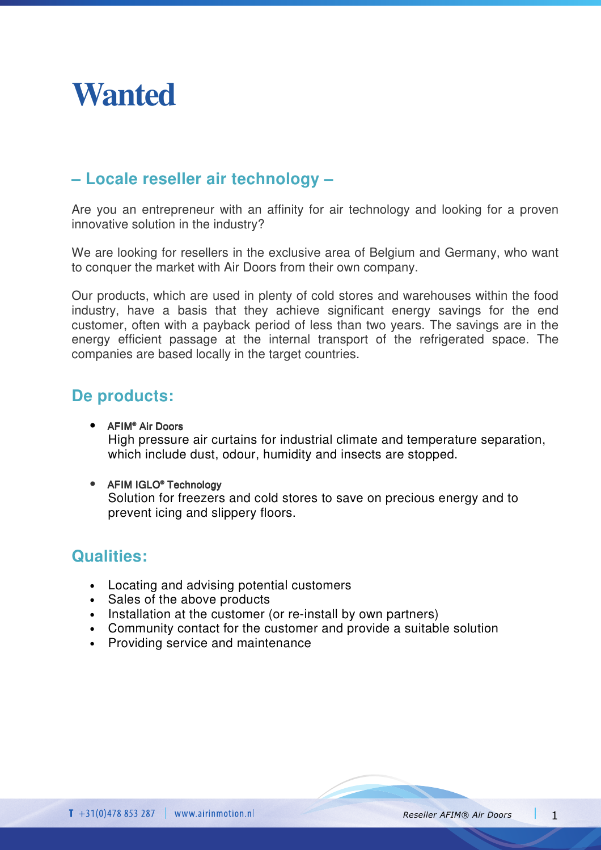

## **– Locale reseller air technology –**

Are you an entrepreneur with an affinity for air technology and looking for a proven innovative solution in the industry?

We are looking for resellers in the exclusive area of Belgium and Germany, who want to conquer the market with Air Doors from their own company.

Our products, which are used in plenty of cold stores and warehouses within the food industry, have a basis that they achieve significant energy savings for the end customer, often with a payback period of less than two years. The savings are in the energy efficient passage at the internal transport of the refrigerated space. The companies are based locally in the target countries.

### **De products:**

- AFIM® Air Doors High pressure air curtains for industrial climate and temperature separation, which include dust, odour, humidity and insects are stopped.
- AFIM IGLO® Technology

Solution for freezers and cold stores to save on precious energy and to prevent icing and slippery floors.

### **Qualities:**

- Locating and advising potential customers
- Sales of the above products
- Installation at the customer (or re-install by own partners)
- Community contact for the customer and provide a suitable solution
- Providing service and maintenance